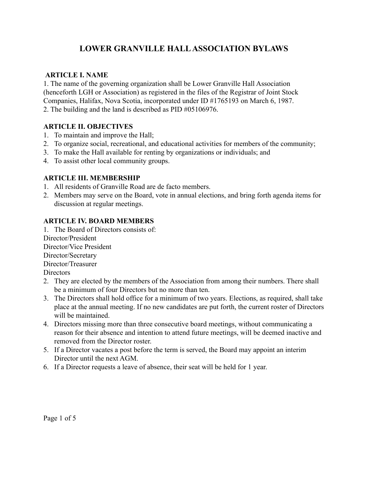# **LOWER GRANVILLE HALLASSOCIATION BYLAWS**

# **ARTICLE I. NAME**

1. The name of the governing organization shall be Lower Granville Hall Association (henceforth LGH or Association) as registered in the files of the Registrar of Joint Stock Companies, Halifax, Nova Scotia, incorporated under ID #1765193 on March 6, 1987. 2. The building and the land is described as PID #05106976.

# **ARTICLE II. OBJECTIVES**

- 1. To maintain and improve the Hall;
- 2. To organize social, recreational, and educational activities for members of the community;
- 3. To make the Hall available for renting by organizations or individuals; and
- 4. To assist other local community groups.

# **ARTICLE III. MEMBERSHIP**

- 1. All residents of Granville Road are de facto members.
- 2. Members may serve on the Board, vote in annual elections, and bring forth agenda items for discussion at regular meetings.

# **ARTICLE IV. BOARD MEMBERS**

1. The Board of Directors consists of:

Director/President Director/Vice President Director/Secretary Director/Treasurer **Directors** 

- 2. They are elected by the members of the Association from among their numbers. There shall be a minimum of four Directors but no more than ten.
- 3. The Directors shall hold office for a minimum of two years. Elections, as required, shall take place at the annual meeting. If no new candidates are put forth, the current roster of Directors will be maintained.
- 4. Directors missing more than three consecutive board meetings, without communicating a reason for their absence and intention to attend future meetings, will be deemed inactive and removed from the Director roster.
- 5. If a Director vacates a post before the term is served, the Board may appoint an interim Director until the next AGM.
- 6. If a Director requests a leave of absence, their seat will be held for 1 year.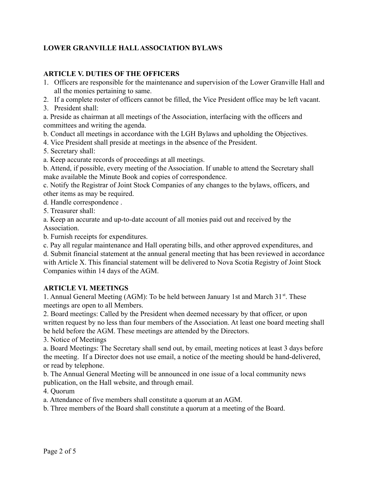# **LOWER GRANVILLE HALL ASSOCIATION BYLAWS**

#### **ARTICLE V. DUTIES OF THE OFFICERS**

1. Officers are responsible for the maintenance and supervision of the Lower Granville Hall and all the monies pertaining to same.

2. If a complete roster of officers cannot be filled, the Vice President office may be left vacant.

3. President shall:

a. Preside as chairman at all meetings of the Association, interfacing with the officers and committees and writing the agenda.

b. Conduct all meetings in accordance with the LGH Bylaws and upholding the Objectives.

4. Vice President shall preside at meetings in the absence of the President.

5. Secretary shall:

a. Keep accurate records of proceedings at all meetings.

b. Attend, if possible, every meeting of the Association. If unable to attend the Secretary shall make available the Minute Book and copies of correspondence.

c. Notify the Registrar of Joint Stock Companies of any changes to the bylaws, officers, and other items as may be required.

d. Handle correspondence .

5. Treasurer shall:

a. Keep an accurate and up-to-date account of all monies paid out and received by the Association.

b. Furnish receipts for expenditures.

c. Pay all regular maintenance and Hall operating bills, and other approved expenditures, and

d. Submit financial statement at the annual general meeting that has been reviewed in accordance with Article X. This financial statement will be delivered to Nova Scotia Registry of Joint Stock Companies within 14 days of the AGM.

#### **ARTICLE VI. MEETINGS**

1. Annual General Meeting (AGM): To be held between January 1st and March 31<sup>st</sup>. These meetings are open to all Members.

2. Board meetings: Called by the President when deemed necessary by that officer, or upon written request by no less than four members of the Association. At least one board meeting shall be held before the AGM. These meetings are attended by the Directors.

3. Notice of Meetings

a. Board Meetings: The Secretary shall send out, by email, meeting notices at least 3 days before the meeting. If a Director does not use email, a notice of the meeting should be hand-delivered, or read by telephone.

b. The Annual General Meeting will be announced in one issue of a local community news publication, on the Hall website, and through email.

4. Quorum

a. Attendance of five members shall constitute a quorum at an AGM.

b. Three members of the Board shall constitute a quorum at a meeting of the Board.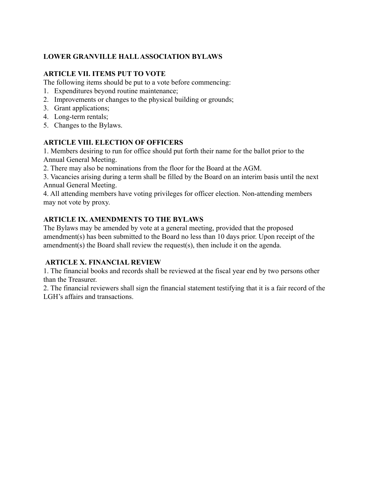# **LOWER GRANVILLE HALL ASSOCIATION BYLAWS**

## **ARTICLE VII. ITEMS PUT TO VOTE**

The following items should be put to a vote before commencing:

- 1. Expenditures beyond routine maintenance;
- 2. Improvements or changes to the physical building or grounds;
- 3. Grant applications;
- 4. Long-term rentals;
- 5. Changes to the Bylaws.

## **ARTICLE VIII. ELECTION OF OFFICERS**

1. Members desiring to run for office should put forth their name for the ballot prior to the Annual General Meeting.

2. There may also be nominations from the floor for the Board at the AGM.

3. Vacancies arising during a term shall be filled by the Board on an interim basis until the next Annual General Meeting.

4. All attending members have voting privileges for officer election. Non-attending members may not vote by proxy.

# **ARTICLE IX. AMENDMENTS TO THE BYLAWS**

The Bylaws may be amended by vote at a general meeting, provided that the proposed amendment(s) has been submitted to the Board no less than 10 days prior. Upon receipt of the amendment(s) the Board shall review the request(s), then include it on the agenda.

# **ARTICLE X. FINANCIAL REVIEW**

1. The financial books and records shall be reviewed at the fiscal year end by two persons other than the Treasurer.

2. The financial reviewers shall sign the financial statement testifying that it is a fair record of the LGH's affairs and transactions.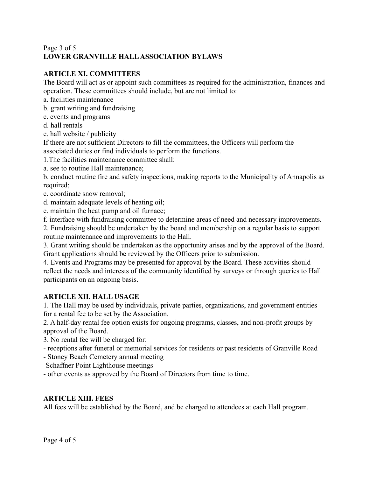## Page 3 of 5 **LOWER GRANVILLE HALL ASSOCIATION BYLAWS**

# **ARTICLE XI. COMMITTEES**

The Board will act as or appoint such committees as required for the administration, finances and operation. These committees should include, but are not limited to:

- a. facilities maintenance
- b. grant writing and fundraising
- c. events and programs
- d. hall rentals
- e. hall website / publicity

If there are not sufficient Directors to fill the committees, the Officers will perform the associated duties or find individuals to perform the functions.

- 1.The facilities maintenance committee shall:
- a. see to routine Hall maintenance;

b. conduct routine fire and safety inspections, making reports to the Municipality of Annapolis as required;

- c. coordinate snow removal;
- d. maintain adequate levels of heating oil;
- e. maintain the heat pump and oil furnace;

f. interface with fundraising committee to determine areas of need and necessary improvements.

2. Fundraising should be undertaken by the board and membership on a regular basis to support routine maintenance and improvements to the Hall.

3. Grant writing should be undertaken as the opportunity arises and by the approval of the Board. Grant applications should be reviewed by the Officers prior to submission.

4. Events and Programs may be presented for approval by the Board. These activities should reflect the needs and interests of the community identified by surveys or through queries to Hall participants on an ongoing basis.

# **ARTICLE XII. HALL USAGE**

1. The Hall may be used by individuals, private parties, organizations, and government entities for a rental fee to be set by the Association.

2. A half-day rental fee option exists for ongoing programs, classes, and non-profit groups by approval of the Board.

3. No rental fee will be charged for:

- receptions after funeral or memorial services for residents or past residents of Granville Road
- Stoney Beach Cemetery annual meeting

-Schaffner Point Lighthouse meetings

- other events as approved by the Board of Directors from time to time.

# **ARTICLE XIII. FEES**

All fees will be established by the Board, and be charged to attendees at each Hall program.